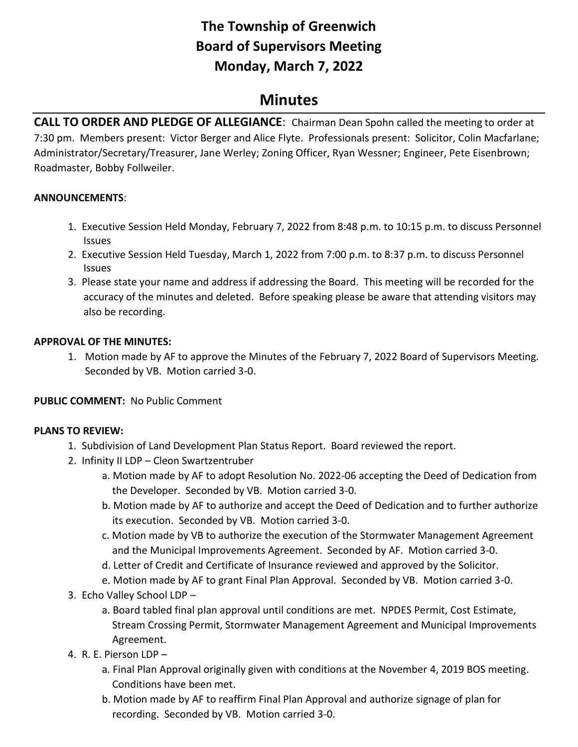# **The Township of Greenwich Board of Supervisors Meeting Monday, March 7, 2022**

## **Minutes**

**CALL TO ORDER AND PLEDGE OF ALLEGIANCE**: Chairman Dean Spohn called the meeting to order at 7:30 pm. Members present: Victor Berger and Alice Flyte. Professionals present: Solicitor, Colin Macfarlane; Administrator/Secretary/Treasurer, Jane Werley; Zoning Officer, Ryan Wessner; Engineer, Pete Eisenbrown; Roadmaster, Bobby Follweiler.

## **ANNOUNCEMENTS**:

- 1. Executive Session Held Monday, February 7, 2022 from 8:48 p.m. to 10:15 p.m. to discuss Personnel Issues
- 2. Executive Session Held Tuesday, March 1, 2022 from 7:00 p.m. to 8:37 p.m. to discuss Personnel Issues
- 3. Please state your name and address if addressing the Board. This meeting will be recorded for the accuracy of the minutes and deleted. Before speaking please be aware that attending visitors may also be recording.

## **APPROVAL OF THE MINUTES:**

1. Motion made by AF to approve the Minutes of the February 7, 2022 Board of Supervisors Meeting. Seconded by VB. Motion carried 3-0.

## **PUBLIC COMMENT:** No Public Comment

#### **PLANS TO REVIEW:**

- 1. Subdivision of Land Development Plan Status Report. Board reviewed the report.
- 2. Infinity II LDP Cleon Swartzentruber
	- a. Motion made by AF to adopt Resolution No. 2022-06 accepting the Deed of Dedication from the Developer. Seconded by VB. Motion carried 3-0.
	- b. Motion made by AF to authorize and accept the Deed of Dedication and to further authorize its execution. Seconded by VB. Motion carried 3-0.
	- c. Motion made by VB to authorize the execution of the Stormwater Management Agreement and the Municipal Improvements Agreement. Seconded by AF. Motion carried 3-0.
	- d. Letter of Credit and Certificate of Insurance reviewed and approved by the Solicitor.
	- e. Motion made by AF to grant Final Plan Approval. Seconded by VB. Motion carried 3-0.
- 3. Echo Valley School LDP
	- a. Board tabled final plan approval until conditions are met. NPDES Permit, Cost Estimate, Stream Crossing Permit, Stormwater Management Agreement and Municipal Improvements Agreement.
- 4. R. E. Pierson LDP
	- a. Final Plan Approval originally given with conditions at the November 4, 2019 BOS meeting. Conditions have been met.
	- b. Motion made by AF to reaffirm Final Plan Approval and authorize signage of plan for recording. Seconded by VB. Motion carried 3-0.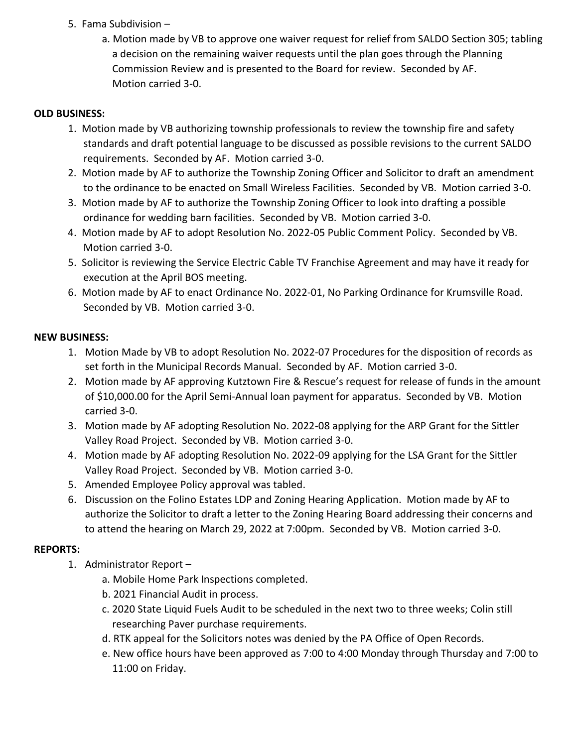- 5. Fama Subdivision
	- a. Motion made by VB to approve one waiver request for relief from SALDO Section 305; tabling a decision on the remaining waiver requests until the plan goes through the Planning Commission Review and is presented to the Board for review. Seconded by AF. Motion carried 3-0.

### **OLD BUSINESS:**

- 1.Motion made by VB authorizing township professionals to review the township fire and safety standards and draft potential language to be discussed as possible revisions to the current SALDO requirements. Seconded by AF. Motion carried 3-0.
- 2. Motion made by AF to authorize the Township Zoning Officer and Solicitor to draft an amendment to the ordinance to be enacted on Small Wireless Facilities. Seconded by VB. Motion carried 3-0.
- 3. Motion made by AF to authorize the Township Zoning Officer to look into drafting a possible ordinance for wedding barn facilities. Seconded by VB. Motion carried 3-0.
- 4. Motion made by AF to adopt Resolution No. 2022-05 Public Comment Policy. Seconded by VB. Motion carried 3-0.
- 5. Solicitor is reviewing the Service Electric Cable TV Franchise Agreement and may have it ready for execution at the April BOS meeting.
- 6. Motion made by AF to enact Ordinance No. 2022-01, No Parking Ordinance for Krumsville Road. Seconded by VB. Motion carried 3-0.

#### **NEW BUSINESS:**

- 1. Motion Made by VB to adopt Resolution No. 2022-07 Procedures for the disposition of records as set forth in the Municipal Records Manual. Seconded by AF. Motion carried 3-0.
- 2. Motion made by AF approving Kutztown Fire & Rescue's request for release of funds in the amount of \$10,000.00 for the April Semi-Annual loan payment for apparatus. Seconded by VB. Motion carried 3-0.
- 3. Motion made by AF adopting Resolution No. 2022-08 applying for the ARP Grant for the Sittler Valley Road Project. Seconded by VB. Motion carried 3-0.
- 4. Motion made by AF adopting Resolution No. 2022-09 applying for the LSA Grant for the Sittler Valley Road Project. Seconded by VB. Motion carried 3-0.
- 5. Amended Employee Policy approval was tabled.
- 6. Discussion on the Folino Estates LDP and Zoning Hearing Application. Motion made by AF to authorize the Solicitor to draft a letter to the Zoning Hearing Board addressing their concerns and to attend the hearing on March 29, 2022 at 7:00pm. Seconded by VB. Motion carried 3-0.

## **REPORTS:**

- 1. Administrator Report
	- a. Mobile Home Park Inspections completed.
	- b. 2021 Financial Audit in process.
	- c. 2020 State Liquid Fuels Audit to be scheduled in the next two to three weeks; Colin still researching Paver purchase requirements.
	- d. RTK appeal for the Solicitors notes was denied by the PA Office of Open Records.
	- e. New office hours have been approved as 7:00 to 4:00 Monday through Thursday and 7:00 to 11:00 on Friday.